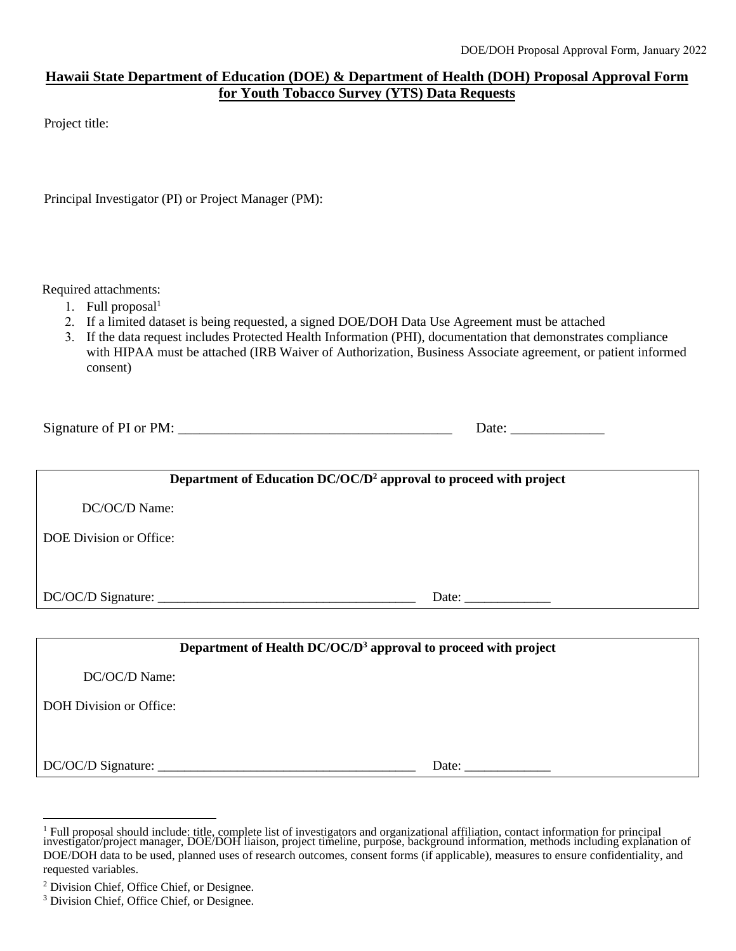## **Hawaii State Department of Education (DOE) & Department of Health (DOH) Proposal Approval Form for Youth Tobacco Survey (YTS) Data Requests**

Project title:

Principal Investigator (PI) or Project Manager (PM):

Required attachments:

- 1. Full proposal $<sup>1</sup>$ </sup>
- 2. If a limited dataset is being requested, a signed DOE/DOH Data Use Agreement must be attached
- 3. If the data request includes Protected Health Information (PHI), documentation that demonstrates compliance with HIPAA must be attached (IRB Waiver of Authorization, Business Associate agreement, or patient informed consent)

Signature of PI or PM:  $\frac{1}{\frac{1}{2}}$  Date:  $\frac{1}{2}$ 

**Department of Education DC/OC/D<sup>2</sup> approval to proceed with project** DC/OC/D Name: DOE Division or Office: DC/OC/D Signature: \_\_\_\_\_\_\_\_\_\_\_\_\_\_\_\_\_\_\_\_\_\_\_\_\_\_\_\_\_\_\_\_\_\_\_\_\_\_\_ Date: \_\_\_\_\_\_\_\_\_\_\_\_\_ **Department of Health DC/OC/D<sup>3</sup> approval to proceed with project** DC/OC/D Name:

DOH Division or Office:

DC/OC/D Signature: \_\_\_\_\_\_\_\_\_\_\_\_\_\_\_\_\_\_\_\_\_\_\_\_\_\_\_\_\_\_\_\_\_\_\_\_\_\_\_ Date: \_\_\_\_\_\_\_\_\_\_\_\_\_

<sup>&</sup>lt;sup>1</sup> Full proposal should include: title, complete list of investigators and organizational affiliation, contact information for principal investigator/project manager, DOE/DOH liaison, project timeline, purpose, background DOE/DOH data to be used, planned uses of research outcomes, consent forms (if applicable), measures to ensure confidentiality, and requested variables.

<sup>2</sup> Division Chief, Office Chief, or Designee.

<sup>&</sup>lt;sup>3</sup> Division Chief, Office Chief, or Designee.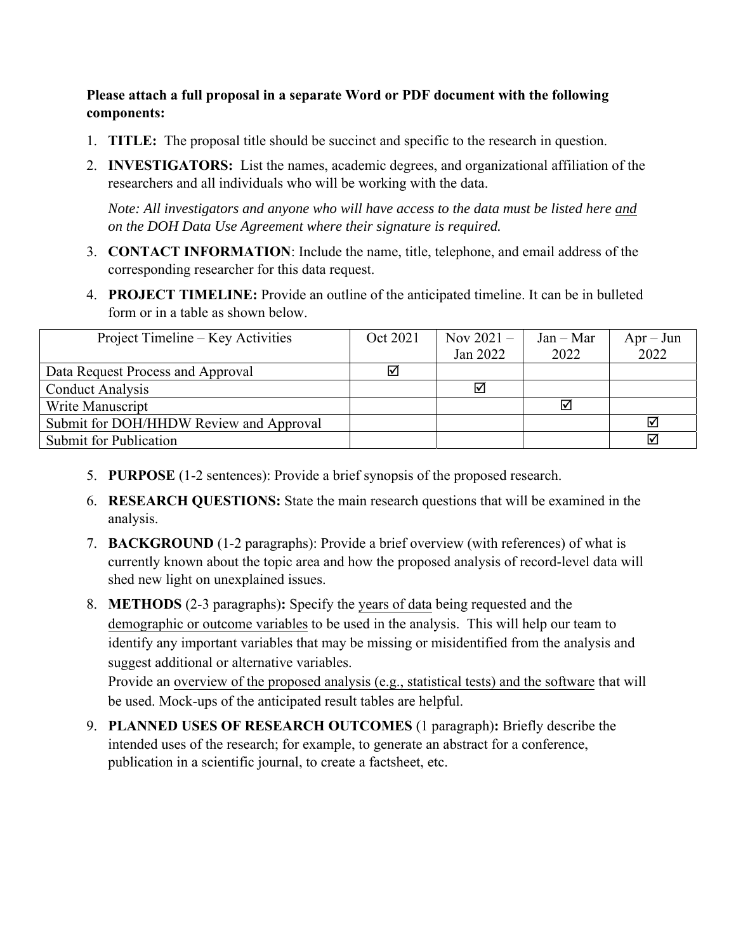## **Please attach a full proposal in a separate Word or PDF document with the following components:**

- 1. **TITLE:** The proposal title should be succinct and specific to the research in question.
- 2. **INVESTIGATORS:** List the names, academic degrees, and organizational affiliation of the researchers and all individuals who will be working with the data.

*Note: All investigators and anyone who will have access to the data must be listed here and on the DOH Data Use Agreement where their signature is required.*

- 3. **CONTACT INFORMATION**: Include the name, title, telephone, and email address of the corresponding researcher for this data request.
- 4. **PROJECT TIMELINE:** Provide an outline of the anticipated timeline. It can be in bulleted form or in a table as shown below.

| Project Timeline – Key Activities       | Oct 2021 | Nov $2021 -$ | $Jan - Mar$ | $Apr - Jun$ |
|-----------------------------------------|----------|--------------|-------------|-------------|
|                                         |          | Jan 2022     | 2022        | 2022        |
| Data Request Process and Approval       | ⊠        |              |             |             |
| <b>Conduct Analysis</b>                 |          | ☑            |             |             |
| Write Manuscript                        |          |              | ☑           |             |
| Submit for DOH/HHDW Review and Approval |          |              |             | ☑           |
| Submit for Publication                  |          |              |             |             |

- 5. **PURPOSE** (1-2 sentences): Provide a brief synopsis of the proposed research.
- 6. **RESEARCH QUESTIONS:** State the main research questions that will be examined in the analysis.
- 7. **BACKGROUND** (1-2 paragraphs): Provide a brief overview (with references) of what is currently known about the topic area and how the proposed analysis of record-level data will shed new light on unexplained issues.
- 8. **METHODS** (2-3 paragraphs)**:** Specify the years of data being requested and the demographic or outcome variables to be used in the analysis. This will help our team to identify any important variables that may be missing or misidentified from the analysis and suggest additional or alternative variables.

Provide an overview of the proposed analysis (e.g., statistical tests) and the software that will be used. Mock-ups of the anticipated result tables are helpful.

9. **PLANNED USES OF RESEARCH OUTCOMES** (1 paragraph)**:** Briefly describe the intended uses of the research; for example, to generate an abstract for a conference, publication in a scientific journal, to create a factsheet, etc.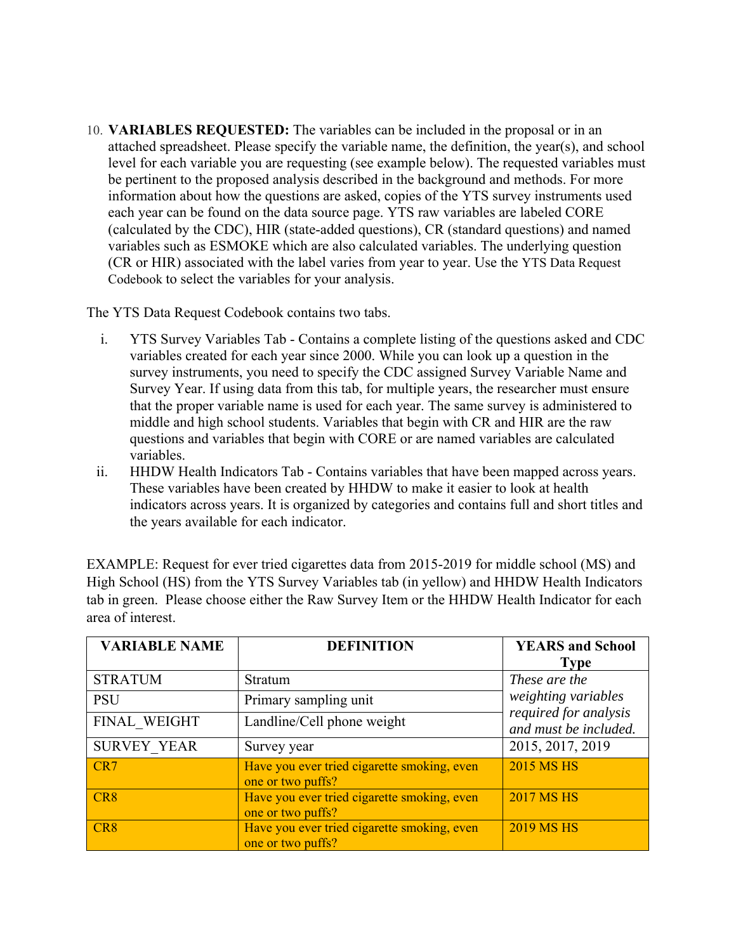10. **VARIABLES REQUESTED:** The variables can be included in the proposal or in an attached spreadsheet. Please specify the variable name, the definition, the year(s), and school level for each variable you are requesting (see example below). The requested variables must be pertinent to the proposed analysis described in the background and methods. For more information about how the questions are asked, copies of the YTS survey instruments used each year can be found on the data source page. YTS raw variables are labeled CORE (calculated by the CDC), HIR (state-added questions), CR (standard questions) and named variables such as ESMOKE which are also calculated variables. The underlying question (CR or HIR) associated with the label varies from year to year. Use the YTS Data Request Codebook to select the variables for your analysis.

The YTS Data Request Codebook contains two tabs.

- i. YTS Survey Variables Tab Contains a complete listing of the questions asked and CDC variables created for each year since 2000. While you can look up a question in the survey instruments, you need to specify the CDC assigned Survey Variable Name and Survey Year. If using data from this tab, for multiple years, the researcher must ensure that the proper variable name is used for each year. The same survey is administered to middle and high school students. Variables that begin with CR and HIR are the raw questions and variables that begin with CORE or are named variables are calculated variables.
- ii. HHDW Health Indicators Tab Contains variables that have been mapped across years. These variables have been created by HHDW to make it easier to look at health indicators across years. It is organized by categories and contains full and short titles and the years available for each indicator.

EXAMPLE: Request for ever tried cigarettes data from 2015-2019 for middle school (MS) and High School (HS) from the YTS Survey Variables tab (in yellow) and HHDW Health Indicators tab in green. Please choose either the Raw Survey Item or the HHDW Health Indicator for each area of interest.

| <b>VARIABLE NAME</b> | <b>DEFINITION</b>                                                | <b>YEARS</b> and School<br><b>Type</b>                                                 |  |
|----------------------|------------------------------------------------------------------|----------------------------------------------------------------------------------------|--|
| <b>STRATUM</b>       | <b>Stratum</b>                                                   | These are the<br>weighting variables<br>required for analysis<br>and must be included. |  |
| <b>PSU</b>           | Primary sampling unit                                            |                                                                                        |  |
| FINAL WEIGHT         | Landline/Cell phone weight                                       |                                                                                        |  |
| <b>SURVEY YEAR</b>   | Survey year                                                      | 2015, 2017, 2019                                                                       |  |
| CR7                  | Have you ever tried cigarette smoking, even<br>one or two puffs? | <b>2015 MS HS</b>                                                                      |  |
| CR8                  | Have you ever tried cigarette smoking, even<br>one or two puffs? | <b>2017 MS HS</b>                                                                      |  |
| CR <sub>8</sub>      | Have you ever tried cigarette smoking, even<br>one or two puffs? | <b>2019 MS HS</b>                                                                      |  |